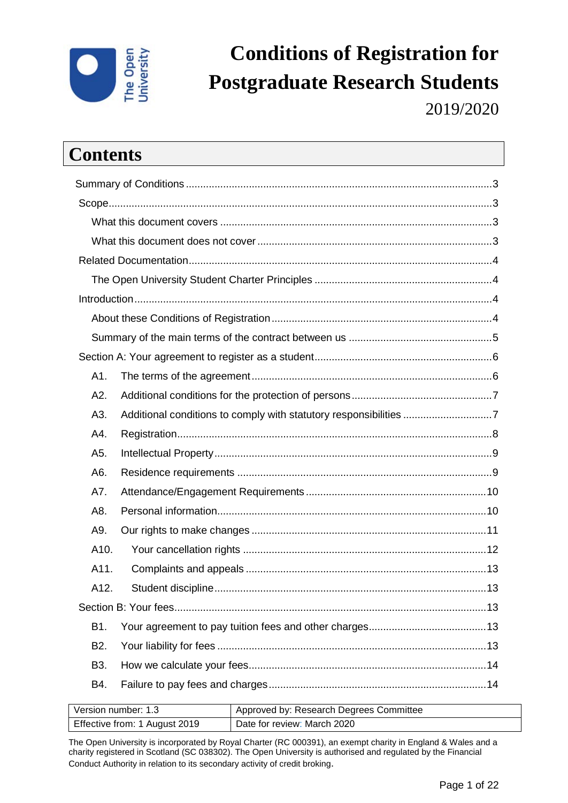

# **Conditions of Registration for Postgraduate Research Students** 2019/2020

## **Contents**

| A1.              |  |
|------------------|--|
| A2.              |  |
| A3.              |  |
| A4.              |  |
| A5.              |  |
| A6.              |  |
| A7.              |  |
| A8.              |  |
| A9.              |  |
| A10.             |  |
| A11.             |  |
| A12.             |  |
|                  |  |
| B1.              |  |
| B <sub>2</sub> . |  |
| B <sub>3</sub> . |  |
| B4.              |  |
|                  |  |

| Version number: 1.3           | Approved by: Research Degrees Committee |
|-------------------------------|-----------------------------------------|
| Effective from: 1 August 2019 | Date for review: March 2020             |

The Open University is incorporated by Royal Charter (RC 000391), an exempt charity in England & Wales and a charity registered in Scotland (SC 038302). The Open University is authorised and regulated by the Financial Conduct Authority in relation to its secondary activity of credit broking.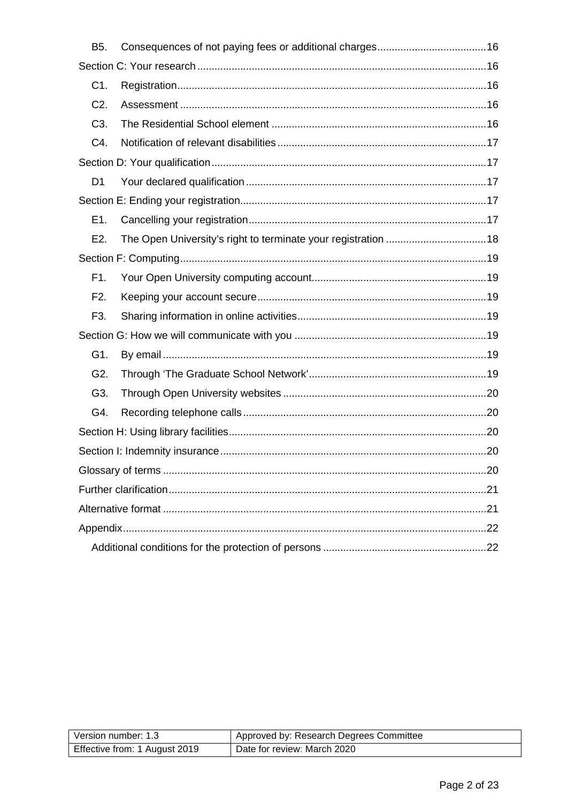| <b>B5.</b>       |  |
|------------------|--|
|                  |  |
| $C1$ .           |  |
| $C2$ .           |  |
| C <sub>3</sub> . |  |
| C4.              |  |
|                  |  |
| D <sub>1</sub>   |  |
|                  |  |
| E1.              |  |
| E <sub>2</sub> . |  |
|                  |  |
| F1.              |  |
| F <sub>2</sub> . |  |
| F <sub>3</sub> . |  |
|                  |  |
| G1.              |  |
| G <sub>2</sub> . |  |
| G3.              |  |
| G4.              |  |
|                  |  |
|                  |  |
|                  |  |
|                  |  |
|                  |  |
|                  |  |
|                  |  |

| Version number: 1.3           | <sup>1</sup> Approved by: Research Degrees Committee |
|-------------------------------|------------------------------------------------------|
| Effective from: 1 August 2019 | Date for review: March 2020                          |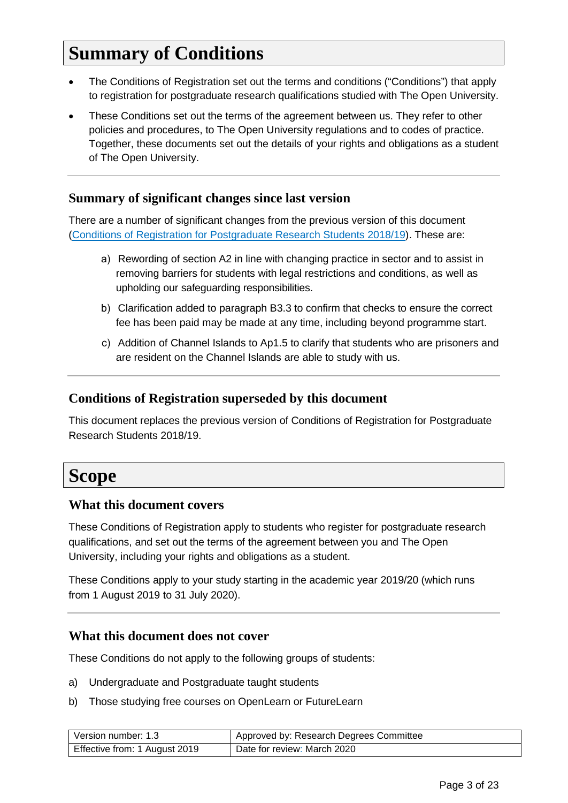## <span id="page-2-0"></span>**Summary of Conditions**

- The Conditions of Registration set out the terms and conditions ("Conditions") that apply to registration for postgraduate research qualifications studied with The Open University.
- These Conditions set out the terms of the agreement between us. They refer to other policies and procedures, to The Open University regulations and to codes of practice. Together, these documents set out the details of your rights and obligations as a student of The Open University.

#### **Summary of significant changes since last version**

There are a number of significant changes from the previous version of this document [\(Conditions of Registration for Postgraduate Research Students 2018/19\)](https://help.open.ac.uk/documents/policies/conditions-of-registration-pg). These are:

- a) Rewording of section A2 in line with changing practice in sector and to assist in removing barriers for students with legal restrictions and conditions, as well as upholding our safeguarding responsibilities.
- b) Clarification added to paragraph B3.3 to confirm that checks to ensure the correct fee has been paid may be made at any time, including beyond programme start.
- c) Addition of Channel Islands to Ap1.5 to clarify that students who are prisoners and are resident on the Channel Islands are able to study with us.

#### **Conditions of Registration superseded by this document**

This document replaces the previous version of Conditions of Registration for Postgraduate Research Students 2018/19.

## <span id="page-2-1"></span>**Scope**

#### <span id="page-2-2"></span>**What this document covers**

These Conditions of Registration apply to students who register for postgraduate research qualifications, and set out the terms of the agreement between you and The Open University, including your rights and obligations as a student.

These Conditions apply to your study starting in the academic year 2019/20 (which runs from 1 August 2019 to 31 July 2020).

#### <span id="page-2-3"></span>**What this document does not cover**

These Conditions do not apply to the following groups of students:

- a) Undergraduate and Postgraduate taught students
- b) Those studying free courses on OpenLearn or FutureLearn

| Version number: 1.3           | <sup>1</sup> Approved by: Research Degrees Committee |
|-------------------------------|------------------------------------------------------|
| Effective from: 1 August 2019 | Date for review: March 2020                          |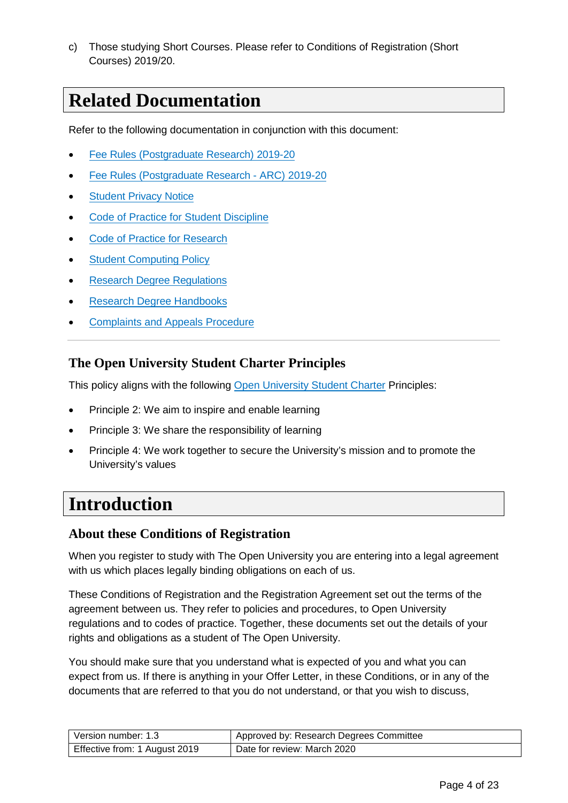c) Those studying Short Courses. Please refer to Conditions of Registration (Short Courses) 2019/20.

## <span id="page-3-0"></span>**Related Documentation**

Refer to the following documentation in conjunction with this document:

- [Fee Rules \(Postgraduate Research\)](https://help.open.ac.uk/documents/policies/fee-rules) 2019-20
- [Fee Rules \(Postgraduate Research ARC\) 2019-20](https://help.open.ac.uk/documents/policies/fee-rules)
- Student [Privacy Notice](https://help.open.ac.uk/documents/policies/privacy-notice)
- [Code of Practice for Student Discipline](https://help.open.ac.uk/documents/policies/code-of-practice-student-discipline)
- Code [of Practice for Research](http://www.open.ac.uk/research/plans-policies)
- Student [Computing Policy](https://help.open.ac.uk/documents/policies/computing)
- [Research Degree Regulations](https://help.open.ac.uk/documents/policies/research-degree-regulations)
- [Research Degree Handbooks](https://help.open.ac.uk/documents/policies/research-degrees-handbook)
- <span id="page-3-1"></span>• [Complaints and Appeals Procedure](https://help.open.ac.uk/documents/policies/complaints-and-appeals-procedure)

### **The Open University Student Charter Principles**

This policy aligns with the following [Open University Student Charter](http://www.open.ac.uk/students/charter/) Principles:

- Principle 2: We aim to inspire and enable learning
- Principle 3: We share the responsibility of learning
- Principle 4: We work together to secure the University's mission and to promote the University's values

## <span id="page-3-2"></span>**Introduction**

#### <span id="page-3-3"></span>**About these Conditions of Registration**

When you register to study with The Open University you are entering into a legal agreement with us which places legally binding obligations on each of us.

These Conditions of Registration and the Registration Agreement set out the terms of the agreement between us. They refer to policies and procedures, to Open University regulations and to codes of practice. Together, these documents set out the details of your rights and obligations as a student of The Open University.

You should make sure that you understand what is expected of you and what you can expect from us. If there is anything in your Offer Letter, in these Conditions, or in any of the documents that are referred to that you do not understand, or that you wish to discuss,

| Version number: 1.3           | Approved by: Research Degrees Committee |
|-------------------------------|-----------------------------------------|
| Effective from: 1 August 2019 | Date for review: March 2020             |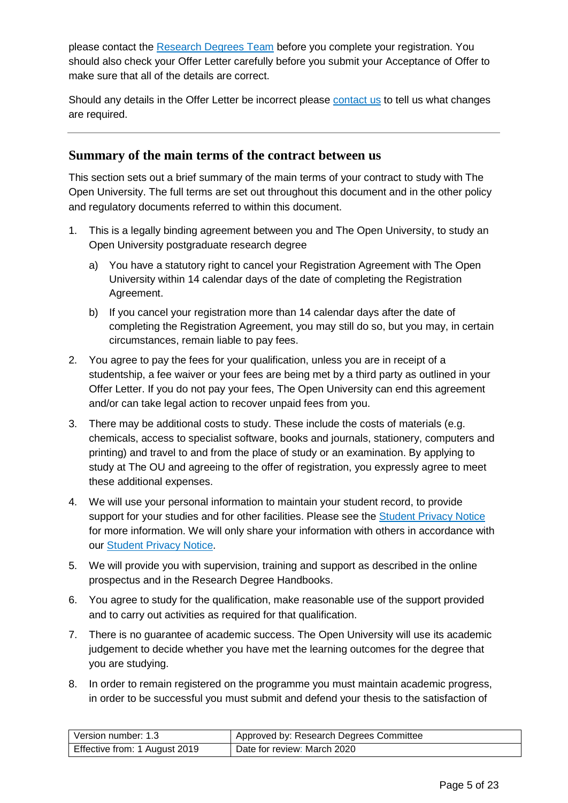please contact the [Research Degrees Team](#page-20-2) before you complete your registration. You should also check your Offer Letter carefully before you submit your Acceptance of Offer to make sure that all of the details are correct.

Should any details in the Offer Letter be incorrect please [contact us](#page-20-2) to tell us what changes are required.

### <span id="page-4-0"></span>**Summary of the main terms of the contract between us**

This section sets out a brief summary of the main terms of your contract to study with The Open University. The full terms are set out throughout this document and in the other policy and regulatory documents referred to within this document.

- 1. This is a legally binding agreement between you and The Open University, to study an Open University postgraduate research degree
	- a) You have a statutory right to cancel your Registration Agreement with The Open University within 14 calendar days of the date of completing the Registration Agreement.
	- b) If you cancel your registration more than 14 calendar days after the date of completing the Registration Agreement, you may still do so, but you may, in certain circumstances, remain liable to pay fees.
- 2. You agree to pay the fees for your qualification, unless you are in receipt of a studentship, a fee waiver or your fees are being met by a third party as outlined in your Offer Letter. If you do not pay your fees, The Open University can end this agreement and/or can take legal action to recover unpaid fees from you.
- 3. There may be additional costs to study. These include the costs of materials (e.g. chemicals, access to specialist software, books and journals, stationery, computers and printing) and travel to and from the place of study or an examination. By applying to study at The OU and agreeing to the offer of registration, you expressly agree to meet these additional expenses.
- 4. We will use your personal information to maintain your student record, to provide support for your studies and for other facilities. Please see the [Student Privacy Notice](https://help.open.ac.uk/documents/policies/privacy-notice) for more information. We will only share your information with others in accordance with our [Student Privacy Notice.](https://help.open.ac.uk/documents/policies/privacy-notice)
- 5. We will provide you with supervision, training and support as described in the online prospectus and in the Research Degree Handbooks.
- 6. You agree to study for the qualification, make reasonable use of the support provided and to carry out activities as required for that qualification.
- 7. There is no guarantee of academic success. The Open University will use its academic judgement to decide whether you have met the learning outcomes for the degree that you are studying.
- 8. In order to remain registered on the programme you must maintain academic progress, in order to be successful you must submit and defend your thesis to the satisfaction of

| Version number: 1.3           | Approved by: Research Degrees Committee |
|-------------------------------|-----------------------------------------|
| Effective from: 1 August 2019 | Date for review: March 2020             |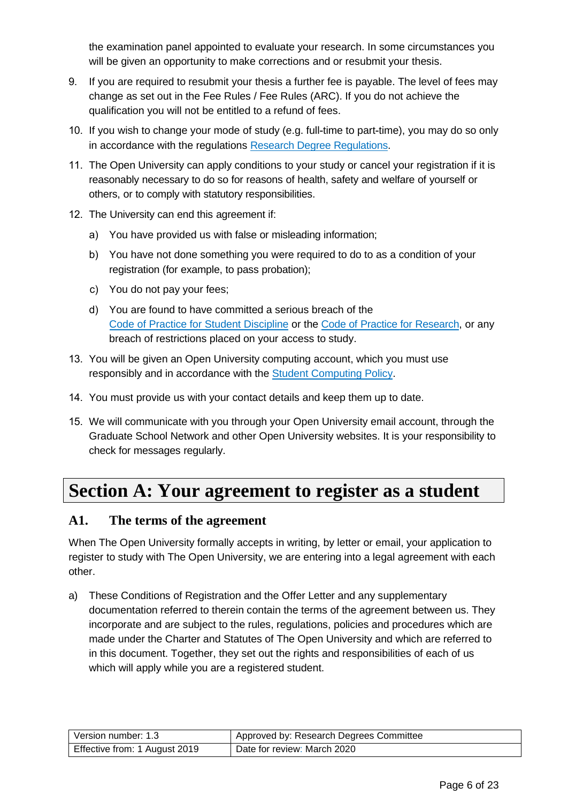the examination panel appointed to evaluate your research. In some circumstances you will be given an opportunity to make corrections and or resubmit your thesis.

- 9. If you are required to resubmit your thesis a further fee is payable. The level of fees may change as set out in the Fee Rules / Fee Rules (ARC). If you do not achieve the qualification you will not be entitled to a refund of fees.
- 10. If you wish to change your mode of study (e.g. full-time to part-time), you may do so only in accordance with the regulations [Research Degree Regulations.](https://help.open.ac.uk/documents/policies/research-degree-regulations)
- 11. The Open University can apply conditions to your study or cancel your registration if it is reasonably necessary to do so for reasons of health, safety and welfare of yourself or others, or to comply with statutory responsibilities.
- 12. The University can end this agreement if:
	- a) You have provided us with false or misleading information;
	- b) You have not done something you were required to do to as a condition of your registration (for example, to pass probation);
	- c) You do not pay your fees;
	- d) You are found to have committed a serious breach of the [Code of Practice for Student Discipline](https://help.open.ac.uk/documents/policies/code-of-practice-student-discipline) or the [Code of Practice for Research,](http://www.open.ac.uk/research/plans-policies) or any breach of restrictions placed on your access to study.
- 13. You will be given an Open University computing account, which you must use responsibly and in accordance with the Student [Computing Policy.](https://help.open.ac.uk/documents/policies/computing)
- 14. You must provide us with your contact details and keep them up to date.
- 15. We will communicate with you through your Open University email account, through the Graduate School Network and other Open University websites. It is your responsibility to check for messages regularly.

## <span id="page-5-0"></span>**Section A: Your agreement to register as a student**

### <span id="page-5-1"></span>**A1. The terms of the agreement**

When The Open University formally accepts in writing, by letter or email, your application to register to study with The Open University, we are entering into a legal agreement with each other.

a) These Conditions of Registration and the Offer Letter and any supplementary documentation referred to therein contain the terms of the agreement between us. They incorporate and are subject to the rules, regulations, policies and procedures which are made under the Charter and Statutes of The Open University and which are referred to in this document. Together, they set out the rights and responsibilities of each of us which will apply while you are a registered student.

| Version number: 1.3           | <sup>1</sup> Approved by: Research Degrees Committee |
|-------------------------------|------------------------------------------------------|
| Effective from: 1 August 2019 | Date for review: March 2020                          |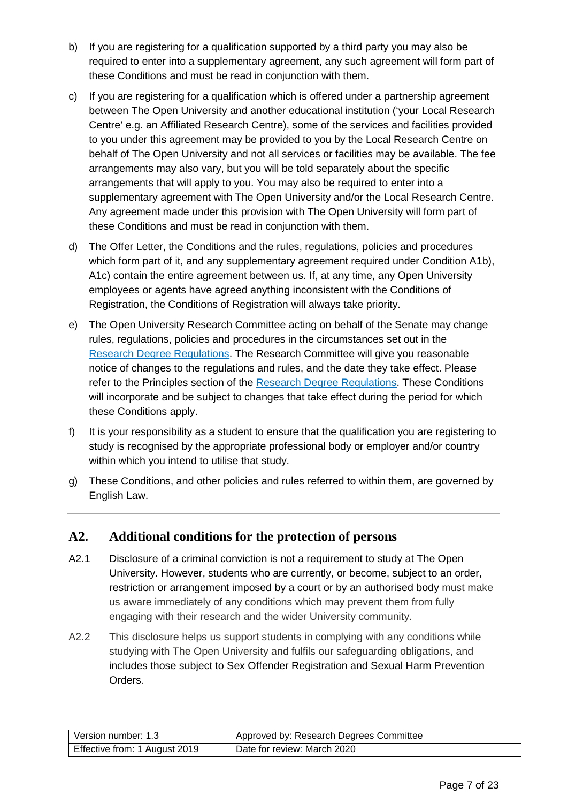- b) If you are registering for a qualification supported by a third party you may also be required to enter into a supplementary agreement, any such agreement will form part of these Conditions and must be read in conjunction with them.
- c) If you are registering for a qualification which is offered under a partnership agreement between The Open University and another educational institution ('your Local Research Centre' e.g. an Affiliated Research Centre), some of the services and facilities provided to you under this agreement may be provided to you by the Local Research Centre on behalf of The Open University and not all services or facilities may be available. The fee arrangements may also vary, but you will be told separately about the specific arrangements that will apply to you. You may also be required to enter into a supplementary agreement with The Open University and/or the Local Research Centre. Any agreement made under this provision with The Open University will form part of these Conditions and must be read in conjunction with them.
- d) The Offer Letter, the Conditions and the rules, regulations, policies and procedures which form part of it, and any supplementary agreement required under Condition A1b), A1c) contain the entire agreement between us. If, at any time, any Open University employees or agents have agreed anything inconsistent with the Conditions of Registration, the Conditions of Registration will always take priority.
- e) The Open University Research Committee acting on behalf of the Senate may change rules, regulations, policies and procedures in the circumstances set out in the [Research Degree Regulations.](https://help.open.ac.uk/documents/policies/research-degree-regulations) The Research Committee will give you reasonable notice of changes to the regulations and rules, and the date they take effect. Please refer to the Principles section of the [Research Degree Regulations.](https://help.open.ac.uk/documents/policies/research-degree-regulations) These Conditions will incorporate and be subject to changes that take effect during the period for which these Conditions apply.
- f) It is your responsibility as a student to ensure that the qualification you are registering to study is recognised by the appropriate professional body or employer and/or country within which you intend to utilise that study.
- g) These Conditions, and other policies and rules referred to within them, are governed by English Law.

## <span id="page-6-0"></span>**A2. Additional conditions for the protection of persons**

- <span id="page-6-1"></span>A2.1 Disclosure of a criminal conviction is not a requirement to study at The Open University. However, students who are currently, or become, subject to an order, restriction or arrangement imposed by a court or by an authorised body must make us aware immediately of any conditions which may prevent them from fully engaging with their research and the wider University community.
- A2.2 This disclosure helps us support students in complying with any conditions while studying with The Open University and fulfils our safeguarding obligations, and includes those subject to Sex Offender Registration and Sexual Harm Prevention Orders.

| Version number: 1.3           | Approved by: Research Degrees Committee |
|-------------------------------|-----------------------------------------|
| Effective from: 1 August 2019 | Date for review: March 2020             |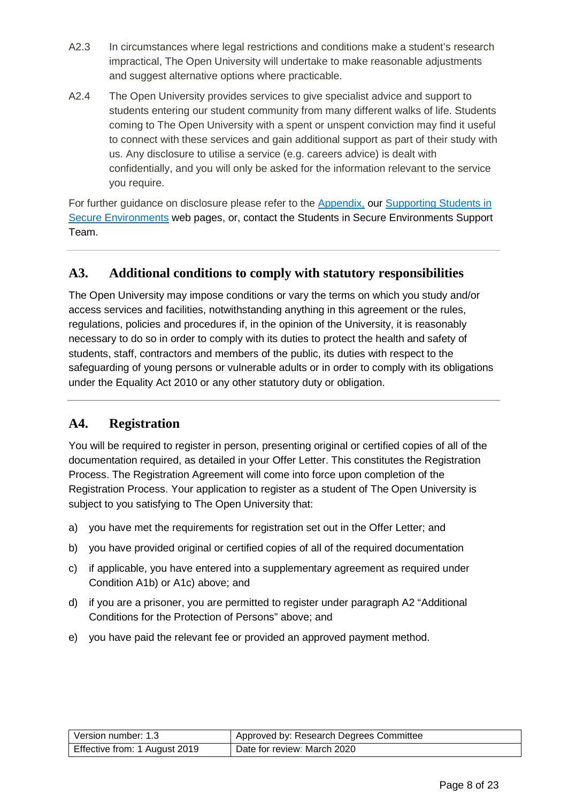- A2.3 In circumstances where legal restrictions and conditions make a student's research impractical, The Open University will undertake to make reasonable adjustments and suggest alternative options where practicable.
- A2.4 The Open University provides services to give specialist advice and support to students entering our student community from many different walks of life. Students coming to The Open University with a spent or unspent conviction may find it useful to connect with these services and gain additional support as part of their study with us. Any disclosure to utilise a service (e.g. careers advice) is dealt with confidentially, and you will only be asked for the information relevant to the service you require.

For further guidance on disclosure please refer to the [Appendix,](#page-21-0) our [Supporting Students in](http://www.open.ac.uk/secure-environments/)  [Secure Environments](http://www.open.ac.uk/secure-environments/) web pages, or, contact the Students in Secure Environments Support Team.

## **A3. Additional conditions to comply with statutory responsibilities**

The Open University may impose conditions or vary the terms on which you study and/or access services and facilities, notwithstanding anything in this agreement or the rules, regulations, policies and procedures if, in the opinion of the University, it is reasonably necessary to do so in order to comply with its duties to protect the health and safety of students, staff, contractors and members of the public, its duties with respect to the safeguarding of young persons or vulnerable adults or in order to comply with its obligations under the Equality Act 2010 or any other statutory duty or obligation.

## <span id="page-7-0"></span>**A4. Registration**

You will be required to register in person, presenting original or certified copies of all of the documentation required, as detailed in your Offer Letter. This constitutes the Registration Process. The Registration Agreement will come into force upon completion of the Registration Process. Your application to register as a student of The Open University is subject to you satisfying to The Open University that:

- a) you have met the requirements for registration set out in the Offer Letter; and
- b) you have provided original or certified copies of all of the required documentation
- c) if applicable, you have entered into a supplementary agreement as required under Condition A1b) or A1c) above; and
- d) if you are a prisoner, you are permitted to register under paragraph A2 "Additional Conditions for the Protection of Persons" above; and
- e) you have paid the relevant fee or provided an approved payment method.

| Version number: 1.3           | <sup>1</sup> Approved by: Research Degrees Committee |
|-------------------------------|------------------------------------------------------|
| Effective from: 1 August 2019 | Date for review: March 2020                          |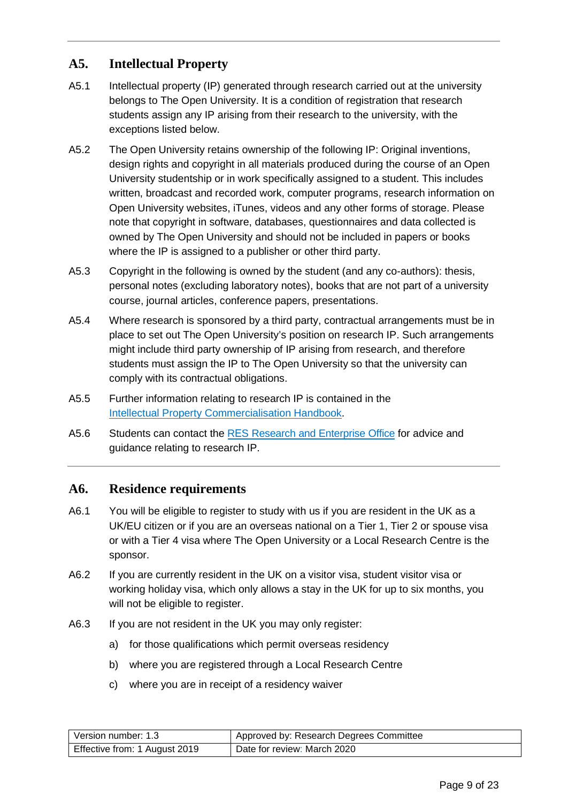## <span id="page-8-0"></span>**A5. Intellectual Property**

- A5.1 Intellectual property (IP) generated through research carried out at the university belongs to The Open University. It is a condition of registration that research students assign any IP arising from their research to the university, with the exceptions listed below.
- A5.2 The Open University retains ownership of the following IP: Original inventions, design rights and copyright in all materials produced during the course of an Open University studentship or in work specifically assigned to a student. This includes written, broadcast and recorded work, computer programs, research information on Open University websites, iTunes, videos and any other forms of storage. Please note that copyright in software, databases, questionnaires and data collected is owned by The Open University and should not be included in papers or books where the IP is assigned to a publisher or other third party.
- A5.3 Copyright in the following is owned by the student (and any co-authors): thesis, personal notes (excluding laboratory notes), books that are not part of a university course, journal articles, conference papers, presentations.
- A5.4 Where research is sponsored by a third party, contractual arrangements must be in place to set out The Open University's position on research IP. Such arrangements might include third party ownership of IP arising from research, and therefore students must assign the IP to The Open University so that the university can comply with its contractual obligations.
- A5.5 Further information relating to research IP is contained in the [Intellectual Property Commercialisation Handbook.](http://www.open.ac.uk/students/research/forms-and-guidance)
- A5.6 Students can contact the RES [Research and Enterprise Office](mailto:enterprise@open.ac.uk) for advice and guidance relating to research IP.

### <span id="page-8-1"></span>**A6. Residence requirements**

- A6.1 You will be eligible to register to study with us if you are resident in the UK as a UK/EU citizen or if you are an overseas national on a Tier 1, Tier 2 or spouse visa or with a Tier 4 visa where The Open University or a Local Research Centre is the sponsor.
- A6.2 If you are currently resident in the UK on a visitor visa, student visitor visa or working holiday visa, which only allows a stay in the UK for up to six months, you will not be eligible to register.
- A6.3 If you are not resident in the UK you may only register:
	- a) for those qualifications which permit overseas residency
	- b) where you are registered through a Local Research Centre
	- c) where you are in receipt of a residency waiver

| l Version number: 1.3         | Approved by: Research Degrees Committee |
|-------------------------------|-----------------------------------------|
| Effective from: 1 August 2019 | Date for review: March 2020             |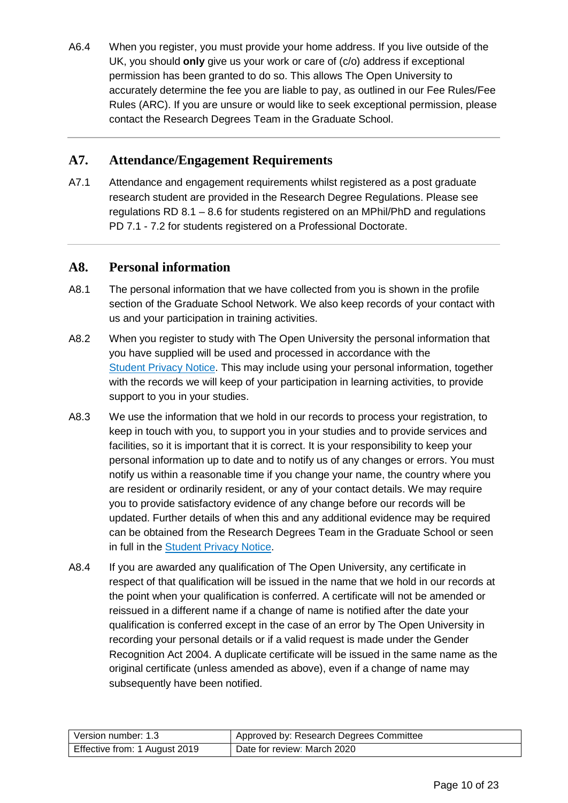A6.4 When you register, you must provide your home address. If you live outside of the UK, you should **only** give us your work or care of (c/o) address if exceptional permission has been granted to do so. This allows The Open University to accurately determine the fee you are liable to pay, as outlined in our Fee Rules/Fee Rules (ARC). If you are unsure or would like to seek exceptional permission, please contact the Research Degrees Team in the Graduate School.

## <span id="page-9-0"></span>**A7. Attendance/Engagement Requirements**

A7.1 Attendance and engagement requirements whilst registered as a post graduate research student are provided in the Research Degree Regulations. Please see regulations RD 8.1 – 8.6 for students registered on an MPhil/PhD and regulations PD 7.1 - 7.2 for students registered on a Professional Doctorate.

### <span id="page-9-1"></span>**A8. Personal information**

- A8.1 The personal information that we have collected from you is shown in the profile section of the Graduate School Network. We also keep records of your contact with us and your participation in training activities.
- A8.2 When you register to study with The Open University the personal information that you have supplied will be used and processed in accordance with the [Student Privacy Notice.](https://help.open.ac.uk/documents/policies/privacy-notice) This may include using your personal information, together with the records we will keep of your participation in learning activities, to provide support to you in your studies.
- A8.3 We use the information that we hold in our records to process your registration, to keep in touch with you, to support you in your studies and to provide services and facilities, so it is important that it is correct. It is your responsibility to keep your personal information up to date and to notify us of any changes or errors. You must notify us within a reasonable time if you change your name, the country where you are resident or ordinarily resident, or any of your contact details. We may require you to provide satisfactory evidence of any change before our records will be updated. Further details of when this and any additional evidence may be required can be obtained from the Research Degrees Team in the Graduate School or seen in full in the [Student Privacy Notice.](https://help.open.ac.uk/documents/policies/privacy-notice)
- A8.4 If you are awarded any qualification of The Open University, any certificate in respect of that qualification will be issued in the name that we hold in our records at the point when your qualification is conferred. A certificate will not be amended or reissued in a different name if a change of name is notified after the date your qualification is conferred except in the case of an error by The Open University in recording your personal details or if a valid request is made under the Gender Recognition Act 2004. A duplicate certificate will be issued in the same name as the original certificate (unless amended as above), even if a change of name may subsequently have been notified.

| Version number: 1.3           | Approved by: Research Degrees Committee |
|-------------------------------|-----------------------------------------|
| Effective from: 1 August 2019 | Date for review: March 2020             |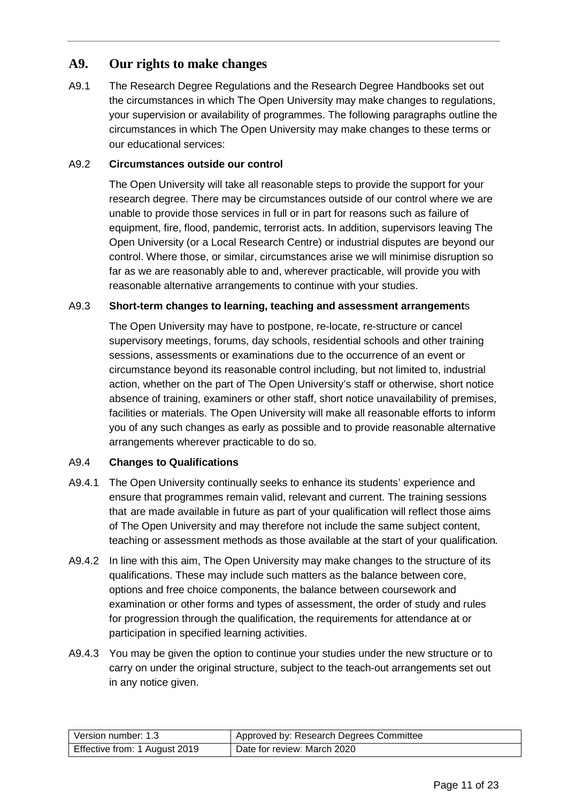### <span id="page-10-0"></span>**A9. Our rights to make changes**

A9.1 The Research Degree Regulations and the Research Degree Handbooks set out the circumstances in which The Open University may make changes to regulations, your supervision or availability of programmes. The following paragraphs outline the circumstances in which The Open University may make changes to these terms or our educational services:

#### A9.2 **Circumstances outside our control**

The Open University will take all reasonable steps to provide the support for your research degree. There may be circumstances outside of our control where we are unable to provide those services in full or in part for reasons such as failure of equipment, fire, flood, pandemic, terrorist acts. In addition, supervisors leaving The Open University (or a Local Research Centre) or industrial disputes are beyond our control. Where those, or similar, circumstances arise we will minimise disruption so far as we are reasonably able to and, wherever practicable, will provide you with reasonable alternative arrangements to continue with your studies.

#### A9.3 **Short-term changes to learning, teaching and assessment arrangement**s

The Open University may have to postpone, re-locate, re-structure or cancel supervisory meetings, forums, day schools, residential schools and other training sessions, assessments or examinations due to the occurrence of an event or circumstance beyond its reasonable control including, but not limited to, industrial action, whether on the part of The Open University's staff or otherwise, short notice absence of training, examiners or other staff, short notice unavailability of premises, facilities or materials. The Open University will make all reasonable efforts to inform you of any such changes as early as possible and to provide reasonable alternative arrangements wherever practicable to do so.

#### A9.4 **Changes to Qualifications**

- A9.4.1 The Open University continually seeks to enhance its students' experience and ensure that programmes remain valid, relevant and current. The training sessions that are made available in future as part of your qualification will reflect those aims of The Open University and may therefore not include the same subject content, teaching or assessment methods as those available at the start of your qualification*.*
- A9.4.2 In line with this aim, The Open University may make changes to the structure of its qualifications. These may include such matters as the balance between core, options and free choice components, the balance between coursework and examination or other forms and types of assessment, the order of study and rules for progression through the qualification, the requirements for attendance at or participation in specified learning activities.
- A9.4.3 You may be given the option to continue your studies under the new structure or to carry on under the original structure, subject to the teach-out arrangements set out in any notice given.

| Version number: 1.3           | Approved by: Research Degrees Committee |
|-------------------------------|-----------------------------------------|
| Effective from: 1 August 2019 | Date for review: March 2020             |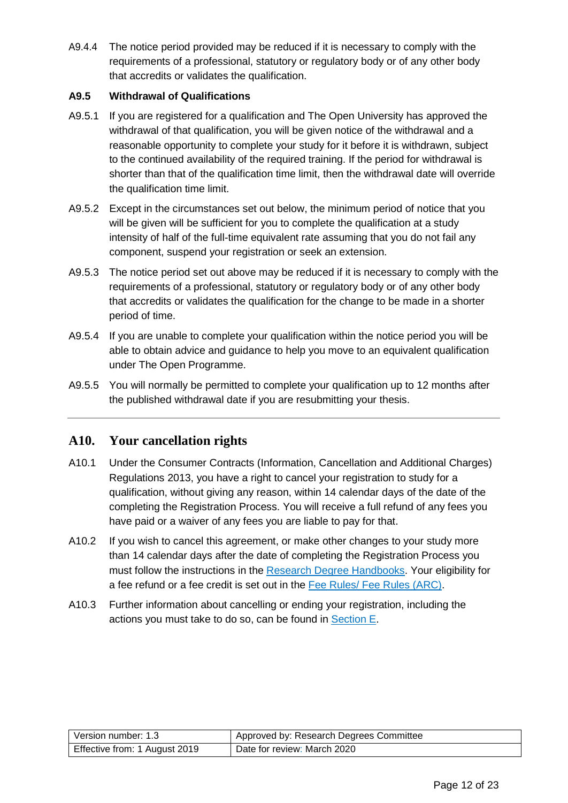A9.4.4 The notice period provided may be reduced if it is necessary to comply with the requirements of a professional, statutory or regulatory body or of any other body that accredits or validates the qualification.

#### **A9.5 Withdrawal of Qualifications**

- A9.5.1 If you are registered for a qualification and The Open University has approved the withdrawal of that qualification, you will be given notice of the withdrawal and a reasonable opportunity to complete your study for it before it is withdrawn, subject to the continued availability of the required training. If the period for withdrawal is shorter than that of the qualification time limit, then the withdrawal date will override the qualification time limit.
- A9.5.2 Except in the circumstances set out below, the minimum period of notice that you will be given will be sufficient for you to complete the qualification at a study intensity of half of the full-time equivalent rate assuming that you do not fail any component, suspend your registration or seek an extension.
- A9.5.3 The notice period set out above may be reduced if it is necessary to comply with the requirements of a professional, statutory or regulatory body or of any other body that accredits or validates the qualification for the change to be made in a shorter period of time.
- A9.5.4 If you are unable to complete your qualification within the notice period you will be able to obtain advice and guidance to help you move to an equivalent qualification under The Open Programme.
- A9.5.5 You will normally be permitted to complete your qualification up to 12 months after the published withdrawal date if you are resubmitting your thesis.

### <span id="page-11-0"></span>**A10. Your cancellation rights**

- A10.1 Under the Consumer Contracts (Information, Cancellation and Additional Charges) Regulations 2013, you have a right to cancel your registration to study for a qualification, without giving any reason, within 14 calendar days of the date of the completing the Registration Process. You will receive a full refund of any fees you have paid or a waiver of any fees you are liable to pay for that.
- A10.2 If you wish to cancel this agreement, or make other changes to your study more than 14 calendar days after the date of completing the Registration Process you must follow the instructions in the [Research Degree Handbooks.](https://help.open.ac.uk/documents/policies/research-degrees-handbook) Your eligibility for a fee refund or a fee credit is set out in the [Fee Rules/ Fee Rules \(ARC\).](http://www.open.ac.uk/students/research/forms-and-guidance)
- A10.3 Further information about cancelling or ending your registration, including the actions you must take to do so, can be found in [Section E.](#page-16-3)

| Version number: 1.3           | Approved by: Research Degrees Committee |
|-------------------------------|-----------------------------------------|
| Effective from: 1 August 2019 | Date for review: March 2020             |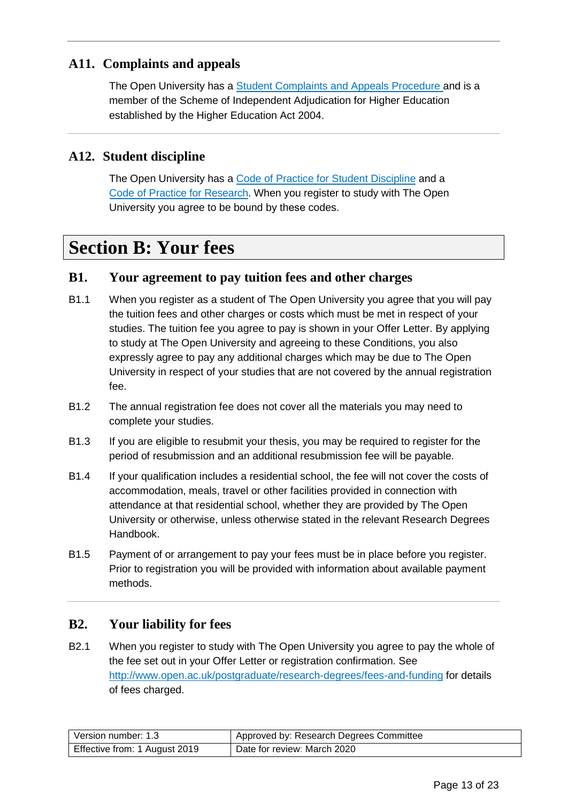## <span id="page-12-0"></span>**A11. Complaints and appeals**

The Open University has a [Student Complaints and Appeals Procedure a](https://help.open.ac.uk/documents/policies/complaints-and-appeals-procedure)nd is a member of the Scheme of Independent Adjudication for Higher Education established by the Higher Education Act 2004.

## <span id="page-12-1"></span>**A12. Student discipline**

The Open University has a [Code of Practice for Student](https://help.open.ac.uk/documents/policies/code-of-practice-student-discipline) Discipline and a [Code of Practice for Research.](http://www.open.ac.uk/research/plans-policies) When you register to study with The Open University you agree to be bound by these codes.

## <span id="page-12-2"></span>**Section B: Your fees**

### <span id="page-12-3"></span>**B1. Your agreement to pay tuition fees and other charges**

- B1.1 When you register as a student of The Open University you agree that you will pay the tuition fees and other charges or costs which must be met in respect of your studies. The tuition fee you agree to pay is shown in your Offer Letter. By applying to study at The Open University and agreeing to these Conditions, you also expressly agree to pay any additional charges which may be due to The Open University in respect of your studies that are not covered by the annual registration fee.
- B1.2 The annual registration fee does not cover all the materials you may need to complete your studies.
- B1.3 If you are eligible to resubmit your thesis, you may be required to register for the period of resubmission and an additional resubmission fee will be payable.
- B1.4 If your qualification includes a residential school, the fee will not cover the costs of accommodation, meals, travel or other facilities provided in connection with attendance at that residential school, whether they are provided by The Open University or otherwise, unless otherwise stated in the relevant Research Degrees Handbook.
- B1.5 Payment of or arrangement to pay your fees must be in place before you register. Prior to registration you will be provided with information about available payment methods.

## <span id="page-12-4"></span>**B2. Your liability for fees**

B2.1 When you register to study with The Open University you agree to pay the whole of the fee set out in your Offer Letter or registration confirmation. See <http://www.open.ac.uk/postgraduate/research-degrees/fees-and-funding> for details of fees charged.

| Version number: 1.3           | Approved by: Research Degrees Committee |
|-------------------------------|-----------------------------------------|
| Effective from: 1 August 2019 | Date for review: March 2020             |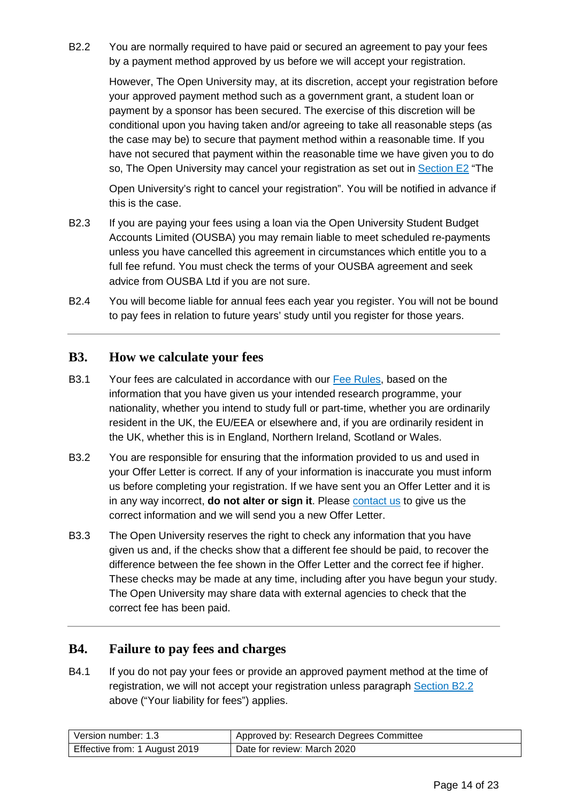<span id="page-13-2"></span>B2.2 You are normally required to have paid or secured an agreement to pay your fees by a payment method approved by us before we will accept your registration.

However, The Open University may, at its discretion, accept your registration before your approved payment method such as a government grant, a student loan or payment by a sponsor has been secured. The exercise of this discretion will be conditional upon you having taken and/or agreeing to take all reasonable steps (as the case may be) to secure that payment method within a reasonable time. If you have not secured that payment within the reasonable time we have given you to do so, The Open University may cancel your registration as set out in [Section E2](#page-17-0) "The

Open University's right to cancel your registration". You will be notified in advance if this is the case.

- B2.3 If you are paying your fees using a loan via the Open University Student Budget Accounts Limited (OUSBA) you may remain liable to meet scheduled re-payments unless you have cancelled this agreement in circumstances which entitle you to a full fee refund. You must check the terms of your OUSBA agreement and seek advice from OUSBA Ltd if you are not sure.
- B2.4 You will become liable for annual fees each year you register. You will not be bound to pay fees in relation to future years' study until you register for those years.

#### <span id="page-13-0"></span>**B3. How we calculate your fees**

- B3.1 Your fees are calculated in accordance with our [Fee Rules,](https://help.open.ac.uk/documents/policies/fee-rules) based on the information that you have given us your intended research programme, your nationality, whether you intend to study full or part-time, whether you are ordinarily resident in the UK, the EU/EEA or elsewhere and, if you are ordinarily resident in the UK, whether this is in England, Northern Ireland, Scotland or Wales.
- B3.2 You are responsible for ensuring that the information provided to us and used in your Offer Letter is correct. If any of your information is inaccurate you must inform us before completing your registration. If we have sent you an Offer Letter and it is in any way incorrect, **do not alter or sign it**. Please [contact us](#page-20-2) to give us the correct information and we will send you a new Offer Letter.
- B3.3 The Open University reserves the right to check any information that you have given us and, if the checks show that a different fee should be paid, to recover the difference between the fee shown in the Offer Letter and the correct fee if higher. These checks may be made at any time, including after you have begun your study. The Open University may share data with external agencies to check that the correct fee has been paid.

#### <span id="page-13-1"></span>**B4. Failure to pay fees and charges**

B4.1 If you do not pay your fees or provide an approved payment method at the time of registration, we will not accept your registration unless paragraph [Section B2.2](#page-13-2) above ("Your liability for fees") applies.

| l Version number: 1.3         | <sup>1</sup> Approved by: Research Degrees Committee |
|-------------------------------|------------------------------------------------------|
| Effective from: 1 August 2019 | Date for review: March 2020                          |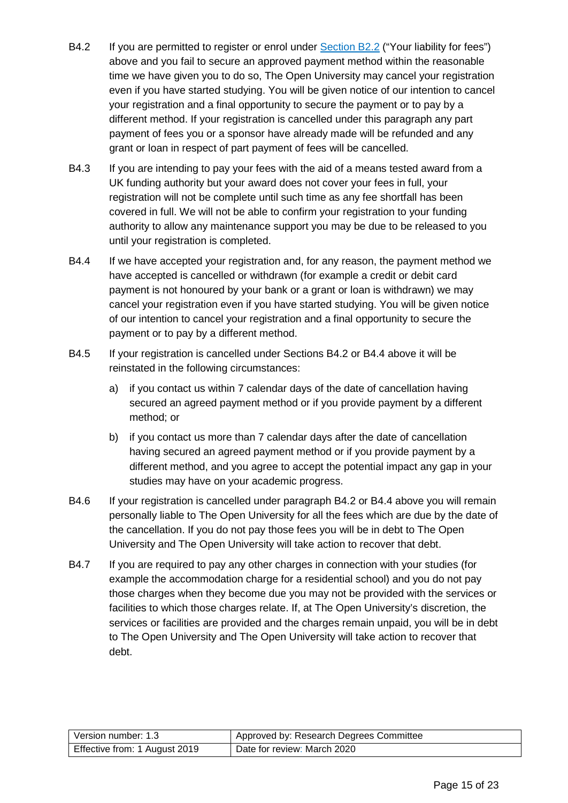- B4.2 If you are permitted to register or enrol under [Section B2.2](#page-13-2) ("Your liability for fees") above and you fail to secure an approved payment method within the reasonable time we have given you to do so, The Open University may cancel your registration even if you have started studying. You will be given notice of our intention to cancel your registration and a final opportunity to secure the payment or to pay by a different method. If your registration is cancelled under this paragraph any part payment of fees you or a sponsor have already made will be refunded and any grant or loan in respect of part payment of fees will be cancelled.
- B4.3 If you are intending to pay your fees with the aid of a means tested award from a UK funding authority but your award does not cover your fees in full, your registration will not be complete until such time as any fee shortfall has been covered in full. We will not be able to confirm your registration to your funding authority to allow any maintenance support you may be due to be released to you until your registration is completed.
- B4.4 If we have accepted your registration and, for any reason, the payment method we have accepted is cancelled or withdrawn (for example a credit or debit card payment is not honoured by your bank or a grant or loan is withdrawn) we may cancel your registration even if you have started studying. You will be given notice of our intention to cancel your registration and a final opportunity to secure the payment or to pay by a different method.
- B4.5 If your registration is cancelled under Sections B4.2 or B4.4 above it will be reinstated in the following circumstances:
	- a) if you contact us within 7 calendar days of the date of cancellation having secured an agreed payment method or if you provide payment by a different method; or
	- b) if you contact us more than 7 calendar days after the date of cancellation having secured an agreed payment method or if you provide payment by a different method, and you agree to accept the potential impact any gap in your studies may have on your academic progress.
- B4.6 If your registration is cancelled under paragraph B4.2 or B4.4 above you will remain personally liable to The Open University for all the fees which are due by the date of the cancellation. If you do not pay those fees you will be in debt to The Open University and The Open University will take action to recover that debt.
- B4.7 If you are required to pay any other charges in connection with your studies (for example the accommodation charge for a residential school) and you do not pay those charges when they become due you may not be provided with the services or facilities to which those charges relate. If, at The Open University's discretion, the services or facilities are provided and the charges remain unpaid, you will be in debt to The Open University and The Open University will take action to recover that debt.

| Version number: 1.3           | Approved by: Research Degrees Committee |
|-------------------------------|-----------------------------------------|
| Effective from: 1 August 2019 | Date for review: March 2020             |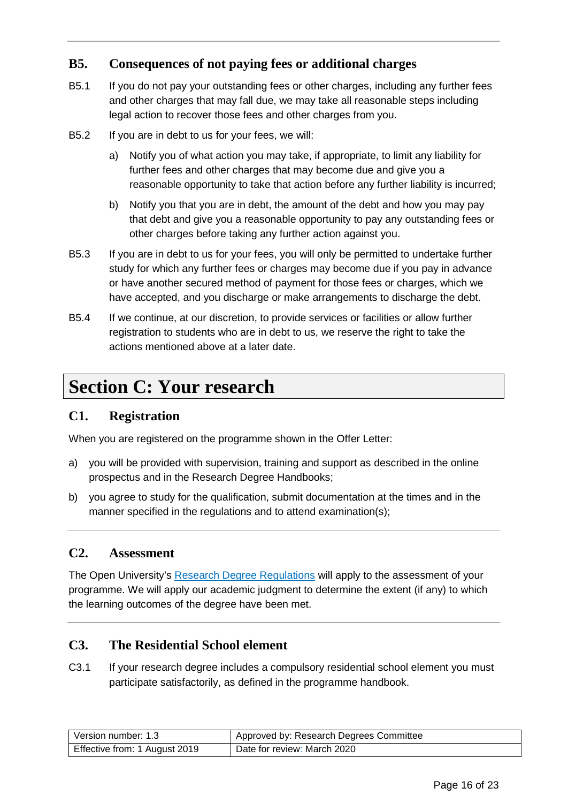## <span id="page-15-0"></span>**B5. Consequences of not paying fees or additional charges**

- B5.1 If you do not pay your outstanding fees or other charges, including any further fees and other charges that may fall due, we may take all reasonable steps including legal action to recover those fees and other charges from you.
- B5.2 If you are in debt to us for your fees, we will:
	- a) Notify you of what action you may take, if appropriate, to limit any liability for further fees and other charges that may become due and give you a reasonable opportunity to take that action before any further liability is incurred;
	- b) Notify you that you are in debt, the amount of the debt and how you may pay that debt and give you a reasonable opportunity to pay any outstanding fees or other charges before taking any further action against you.
- B5.3 If you are in debt to us for your fees, you will only be permitted to undertake further study for which any further fees or charges may become due if you pay in advance or have another secured method of payment for those fees or charges, which we have accepted, and you discharge or make arrangements to discharge the debt.
- B5.4 If we continue, at our discretion, to provide services or facilities or allow further registration to students who are in debt to us, we reserve the right to take the actions mentioned above at a later date.

## <span id="page-15-1"></span>**Section C: Your research**

## <span id="page-15-2"></span>**C1. Registration**

When you are registered on the programme shown in the Offer Letter:

- a) you will be provided with supervision, training and support as described in the online prospectus and in the Research Degree Handbooks;
- b) you agree to study for the qualification, submit documentation at the times and in the manner specified in the regulations and to attend examination(s);

## <span id="page-15-3"></span>**C2. Assessment**

The Open University's [Research Degree Regulations](https://help.open.ac.uk/documents/policies/research-degree-regulations) will apply to the assessment of your programme. We will apply our academic judgment to determine the extent (if any) to which the learning outcomes of the degree have been met.

## <span id="page-15-4"></span>**C3. The Residential School element**

C3.1 If your research degree includes a compulsory residential school element you must participate satisfactorily, as defined in the programme handbook.

| Version number: 1.3           | <sup>1</sup> Approved by: Research Degrees Committee |
|-------------------------------|------------------------------------------------------|
| Effective from: 1 August 2019 | Date for review: March 2020                          |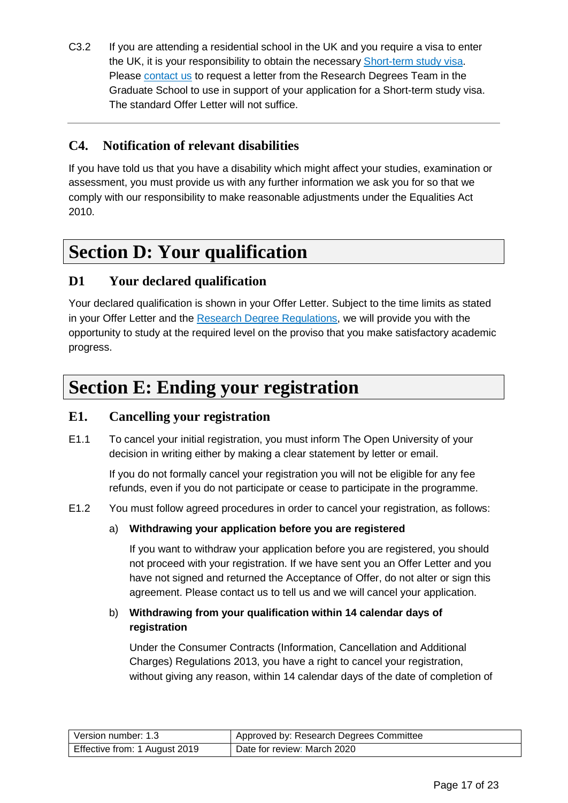C3.2 If you are attending a residential school in the UK and you require a visa to enter the UK, it is your responsibility to obtain the necessary [Short-term study visa.](https://www.gov.uk/study-visit-visa) Please [contact us](#page-20-2) to request a letter from the Research Degrees Team in the Graduate School to use in support of your application for a Short-term study visa. The standard Offer Letter will not suffice.

## <span id="page-16-0"></span>**C4. Notification of relevant disabilities**

If you have told us that you have a disability which might affect your studies, examination or assessment, you must provide us with any further information we ask you for so that we comply with our responsibility to make reasonable adjustments under the Equalities Act 2010.

## <span id="page-16-1"></span>**Section D: Your qualification**

## <span id="page-16-2"></span>**D1 Your declared qualification**

Your declared qualification is shown in your Offer Letter. Subject to the time limits as stated in your Offer Letter and the [Research Degree Regulations,](https://help.open.ac.uk/documents/policies/research-degree-regulations) we will provide you with the opportunity to study at the required level on the proviso that you make satisfactory academic progress.

## <span id="page-16-3"></span>**Section E: Ending your registration**

## <span id="page-16-4"></span>**E1. Cancelling your registration**

E1.1 To cancel your initial registration, you must inform The Open University of your decision in writing either by making a clear statement by letter or email.

If you do not formally cancel your registration you will not be eligible for any fee refunds, even if you do not participate or cease to participate in the programme.

E1.2 You must follow agreed procedures in order to cancel your registration, as follows:

### a) **Withdrawing your application before you are registered**

If you want to withdraw your application before you are registered, you should not proceed with your registration. If we have sent you an Offer Letter and you have not signed and returned the Acceptance of Offer, do not alter or sign this agreement. Please contact us to tell us and we will cancel your application.

#### b) **Withdrawing from your qualification within 14 calendar days of registration**

Under the Consumer Contracts (Information, Cancellation and Additional Charges) Regulations 2013, you have a right to cancel your registration, without giving any reason, within 14 calendar days of the date of completion of

| Version number: 1.3           | Approved by: Research Degrees Committee |
|-------------------------------|-----------------------------------------|
| Effective from: 1 August 2019 | Date for review: March 2020             |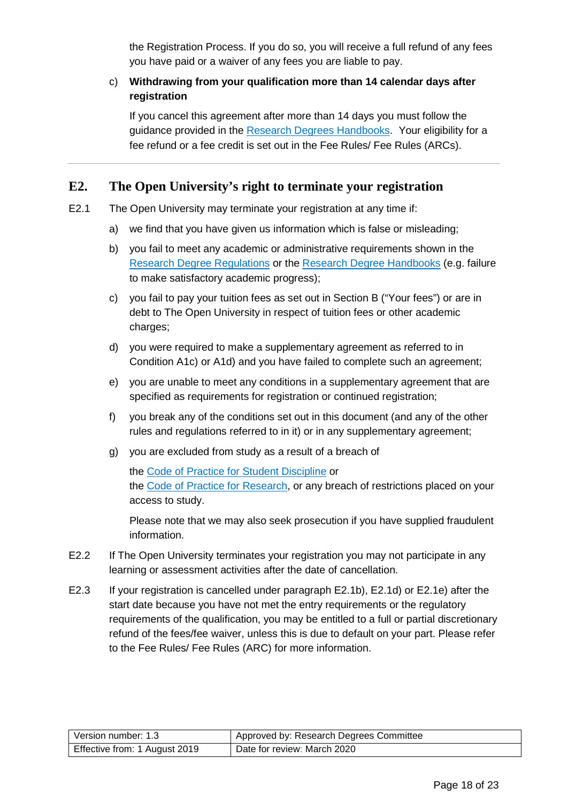the Registration Process. If you do so, you will receive a full refund of any fees you have paid or a waiver of any fees you are liable to pay.

#### c) **Withdrawing from your qualification more than 14 calendar days after registration**

If you cancel this agreement after more than 14 days you must follow the guidance provided in the [Research Degrees Handbooks.](https://help.open.ac.uk/documents/policies/research-degrees-handbook) Your eligibility for a fee refund or a fee credit is set out in the Fee Rules/ Fee Rules (ARCs).

## <span id="page-17-0"></span>**E2. The Open University's right to terminate your registration**

- E2.1 The Open University may terminate your registration at any time if:
	- a) we find that you have given us information which is false or misleading;
	- b) you fail to meet any academic or administrative requirements shown in the [Research Degree Regulations](https://help.open.ac.uk/documents/policies/research-degree-regulations) or the [Research Degree Handbooks](https://help.open.ac.uk/documents/policies/research-degrees-handbook) (e.g. failure to make satisfactory academic progress);
	- c) you fail to pay your tuition fees as set out in Section B ("Your fees") or are in debt to The Open University in respect of tuition fees or other academic charges;
	- d) you were required to make a supplementary agreement as referred to in Condition A1c) or A1d) and you have failed to complete such an agreement;
	- e) you are unable to meet any conditions in a supplementary agreement that are specified as requirements for registration or continued registration;
	- f) you break any of the conditions set out in this document (and any of the other rules and regulations referred to in it) or in any supplementary agreement;
	- g) you are excluded from study as a result of a breach of

the [Code of Practice for Student Discipline](https://help.open.ac.uk/documents/policies/code-of-practice-student-discipline) or the [Code of Practice for Research,](http://www.open.ac.uk/research/plans-policies) or any breach of restrictions placed on your access to study.

Please note that we may also seek prosecution if you have supplied fraudulent information.

- E2.2 If The Open University terminates your registration you may not participate in any learning or assessment activities after the date of cancellation.
- E2.3 If your registration is cancelled under paragraph E2.1b), E2.1d) or E2.1e) after the start date because you have not met the entry requirements or the regulatory requirements of the qualification, you may be entitled to a full or partial discretionary refund of the fees/fee waiver, unless this is due to default on your part. Please refer to the Fee Rules/ Fee Rules (ARC) for more information.

| Version number: 1.3           | Approved by: Research Degrees Committee |
|-------------------------------|-----------------------------------------|
| Effective from: 1 August 2019 | Date for review: March 2020             |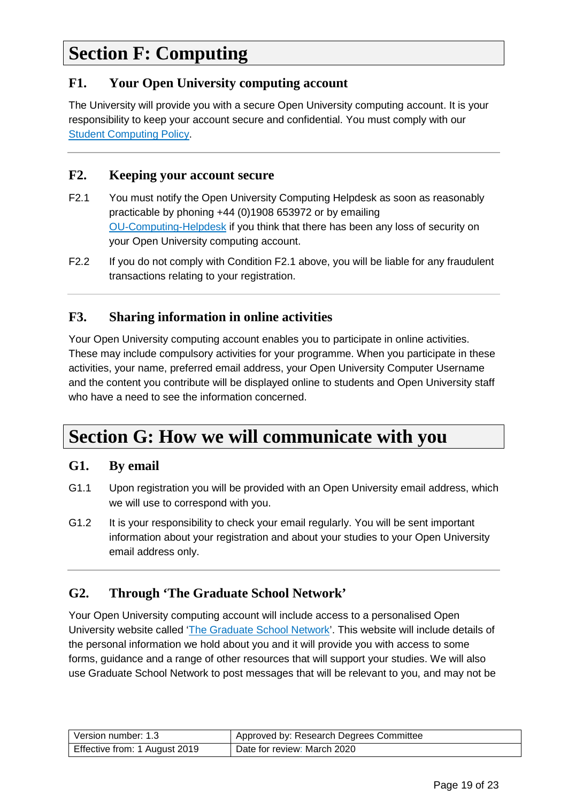## <span id="page-18-0"></span>**Section F: Computing**

## <span id="page-18-1"></span>**F1. Your Open University computing account**

The University will provide you with a secure Open University computing account. It is your responsibility to keep your account secure and confidential. You must comply with our [Student Computing Policy.](https://help.open.ac.uk/documents/policies/computing)

### <span id="page-18-2"></span>**F2. Keeping your account secure**

- F2.1 You must notify the Open University Computing Helpdesk as soon as reasonably practicable by phoning +44 (0)1908 653972 or by emailing [OU-Computing-Helpdesk](mailto:ou-computing-helpdesk@open.ac.uk) if you think that there has been any loss of security on your Open University computing account.
- F2.2 If you do not comply with Condition F2.1 above, you will be liable for any fraudulent transactions relating to your registration.

## <span id="page-18-3"></span>**F3. Sharing information in online activities**

Your Open University computing account enables you to participate in online activities. These may include compulsory activities for your programme. When you participate in these activities, your name, preferred email address, your Open University Computer Username and the content you contribute will be displayed online to students and Open University staff who have a need to see the information concerned.

## <span id="page-18-4"></span>**Section G: How we will communicate with you**

### <span id="page-18-5"></span>**G1. By email**

- G1.1 Upon registration you will be provided with an Open University email address, which we will use to correspond with you.
- G1.2 It is your responsibility to check your email regularly. You will be sent important information about your registration and about your studies to your Open University email address only.

## <span id="page-18-6"></span>**G2. Through 'The Graduate School Network'**

Your Open University computing account will include access to a personalised Open University website called ['The Graduate School Network'](http://www.open.ac.uk/students/research/). This website will include details of the personal information we hold about you and it will provide you with access to some forms, guidance and a range of other resources that will support your studies. We will also use Graduate School Network to post messages that will be relevant to you, and may not be

| l Version number: 1.3         | Approved by: Research Degrees Committee |
|-------------------------------|-----------------------------------------|
| Effective from: 1 August 2019 | Date for review: March 2020             |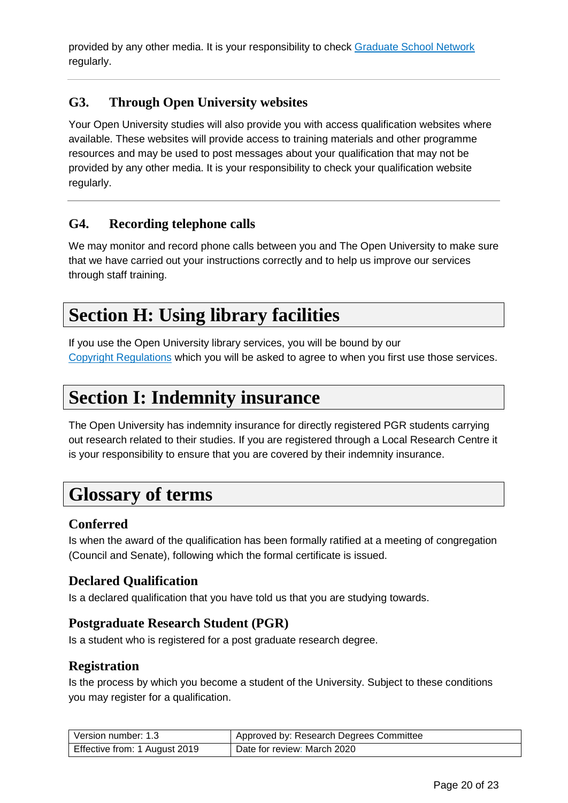provided by any other media. It is your responsibility to check [Graduate School Network](http://www.open.ac.uk/students/research/) regularly.

## <span id="page-19-0"></span>**G3. Through Open University websites**

Your Open University studies will also provide you with access qualification websites where available. These websites will provide access to training materials and other programme resources and may be used to post messages about your qualification that may not be provided by any other media. It is your responsibility to check your qualification website regularly.

## <span id="page-19-1"></span>**G4. Recording telephone calls**

We may monitor and record phone calls between you and The Open University to make sure that we have carried out your instructions correctly and to help us improve our services through staff training.

## <span id="page-19-2"></span>**Section H: Using library facilities**

If you use the Open University library services, you will be bound by our [Copyright Regulations](http://www.open.ac.uk/library/library-information/copying-and-downloading) which you will be asked to agree to when you first use those services.

## <span id="page-19-3"></span>**Section I: Indemnity insurance**

The Open University has indemnity insurance for directly registered PGR students carrying out research related to their studies. If you are registered through a Local Research Centre it is your responsibility to ensure that you are covered by their indemnity insurance.

## <span id="page-19-4"></span>**Glossary of terms**

### **Conferred**

Is when the award of the qualification has been formally ratified at a meeting of congregation (Council and Senate), following which the formal certificate is issued.

### **Declared Qualification**

Is a declared qualification that you have told us that you are studying towards.

### **Postgraduate Research Student (PGR)**

Is a student who is registered for a post graduate research degree.

### **Registration**

Is the process by which you become a student of the University. Subject to these conditions you may register for a qualification.

| Version number: 1.3           | Approved by: Research Degrees Committee |
|-------------------------------|-----------------------------------------|
| Effective from: 1 August 2019 | Date for review: March 2020             |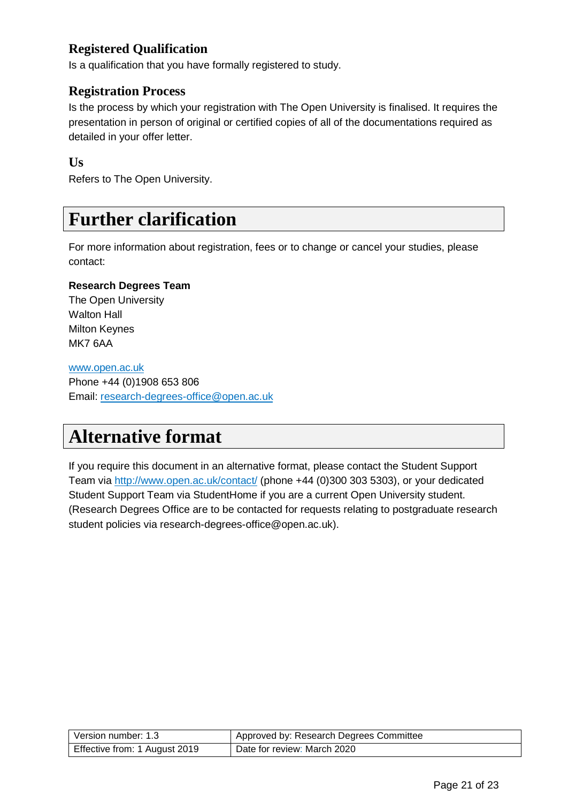## **Registered Qualification**

Is a qualification that you have formally registered to study.

### **Registration Process**

Is the process by which your registration with The Open University is finalised. It requires the presentation in person of original or certified copies of all of the documentations required as detailed in your offer letter.

### **Us**

Refers to The Open University.

## <span id="page-20-0"></span>**Further clarification**

For more information about registration, fees or to change or cancel your studies, please contact:

#### <span id="page-20-2"></span>**Research Degrees Team**

The Open University Walton Hall Milton Keynes MK7 6AA

#### [www.open.ac.uk](http://www.open.ac.uk/)

Phone +44 (0)1908 653 806 Email: [research-degrees-office@open.ac.uk](mailto:research-degrees-office@open.ac.uk)

## <span id="page-20-1"></span>**Alternative format**

If you require this document in an alternative format, please contact the Student Support Team via<http://www.open.ac.uk/contact/> (phone +44 (0)300 303 5303), or your dedicated Student Support Team via StudentHome if you are a current Open University student. (Research Degrees Office are to be contacted for requests relating to postgraduate research student policies via research-degrees-office@open.ac.uk).

| l Version number: 1.3         | Approved by: Research Degrees Committee |
|-------------------------------|-----------------------------------------|
| Effective from: 1 August 2019 | Date for review: March 2020             |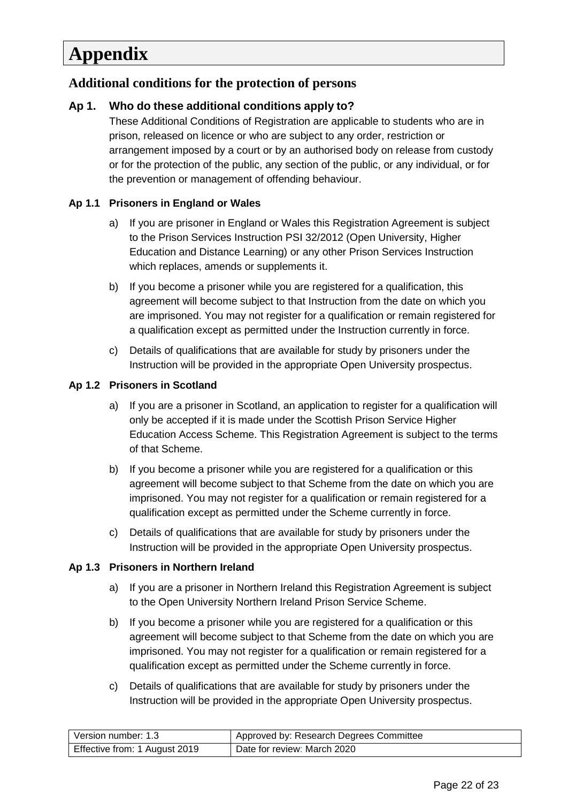## <span id="page-21-0"></span>**Appendix**

## <span id="page-21-1"></span>**Additional conditions for the protection of persons**

### **Ap 1. Who do these additional conditions apply to?**

These Additional Conditions of Registration are applicable to students who are in prison, released on licence or who are subject to any order, restriction or arrangement imposed by a court or by an authorised body on release from custody or for the protection of the public, any section of the public, or any individual, or for the prevention or management of offending behaviour.

#### **Ap 1.1 Prisoners in England or Wales**

- a) If you are prisoner in England or Wales this Registration Agreement is subject to the Prison Services Instruction PSI 32/2012 (Open University, Higher Education and Distance Learning) or any other Prison Services Instruction which replaces, amends or supplements it.
- b) If you become a prisoner while you are registered for a qualification, this agreement will become subject to that Instruction from the date on which you are imprisoned. You may not register for a qualification or remain registered for a qualification except as permitted under the Instruction currently in force.
- c) Details of qualifications that are available for study by prisoners under the Instruction will be provided in the appropriate Open University prospectus.

#### **Ap 1.2 Prisoners in Scotland**

- a) If you are a prisoner in Scotland, an application to register for a qualification will only be accepted if it is made under the Scottish Prison Service Higher Education Access Scheme. This Registration Agreement is subject to the terms of that Scheme.
- b) If you become a prisoner while you are registered for a qualification or this agreement will become subject to that Scheme from the date on which you are imprisoned. You may not register for a qualification or remain registered for a qualification except as permitted under the Scheme currently in force.
- c) Details of qualifications that are available for study by prisoners under the Instruction will be provided in the appropriate Open University prospectus.

#### **Ap 1.3 Prisoners in Northern Ireland**

- a) If you are a prisoner in Northern Ireland this Registration Agreement is subject to the Open University Northern Ireland Prison Service Scheme.
- b) If you become a prisoner while you are registered for a qualification or this agreement will become subject to that Scheme from the date on which you are imprisoned. You may not register for a qualification or remain registered for a qualification except as permitted under the Scheme currently in force.
- c) Details of qualifications that are available for study by prisoners under the Instruction will be provided in the appropriate Open University prospectus.

| Version number: 1.3           | Approved by: Research Degrees Committee |
|-------------------------------|-----------------------------------------|
| Effective from: 1 August 2019 | Date for review: March 2020             |